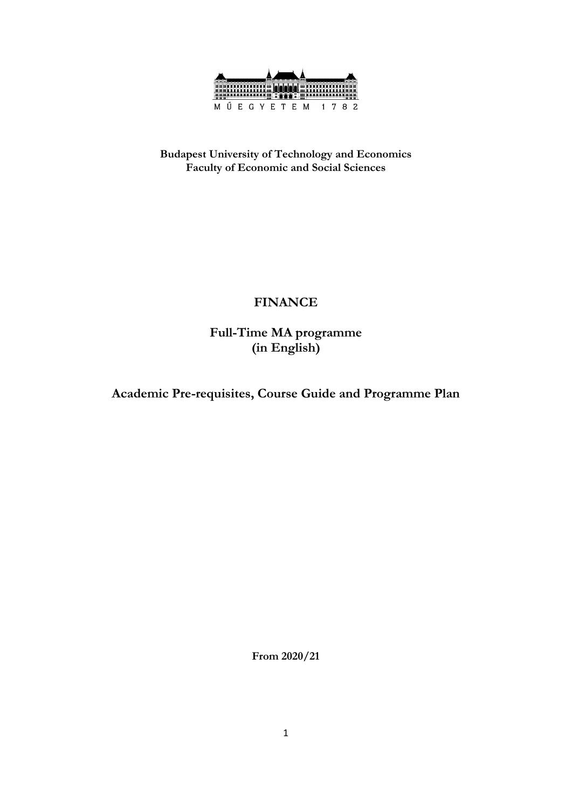

**Budapest University of Technology and Economics Faculty of Economic and Social Sciences**

### **FINANCE**

**Full-Time MA programme (in English)**

**Academic Pre-requisites, Course Guide and Programme Plan**

**From 2020/21**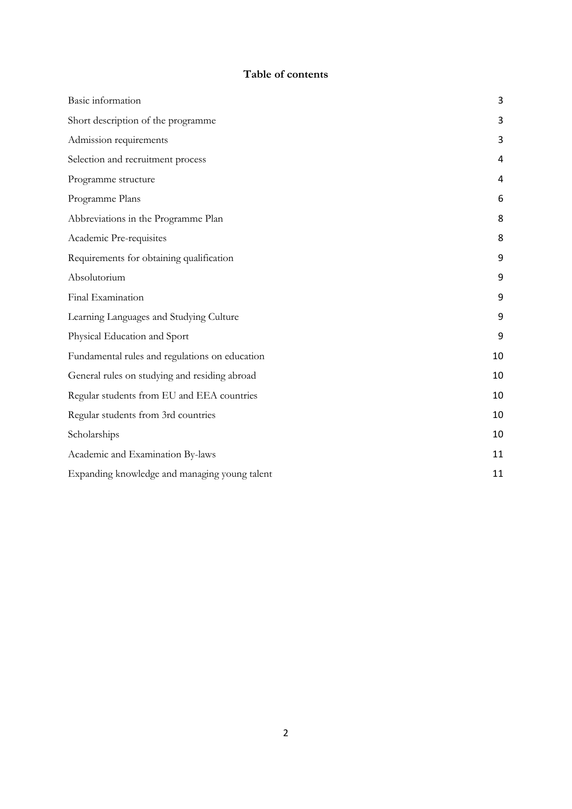### **Table of contents**

| Basic information                              | 3  |
|------------------------------------------------|----|
| Short description of the programme             | 3  |
| Admission requirements                         | 3  |
| Selection and recruitment process              | 4  |
| Programme structure                            | 4  |
| Programme Plans                                | 6  |
| Abbreviations in the Programme Plan            | 8  |
| Academic Pre-requisites                        | 8  |
| Requirements for obtaining qualification       | 9  |
| Absolutorium                                   | 9  |
| Final Examination                              | 9  |
| Learning Languages and Studying Culture        | 9  |
| Physical Education and Sport                   | 9  |
| Fundamental rules and regulations on education | 10 |
| General rules on studying and residing abroad  | 10 |
| Regular students from EU and EEA countries     | 10 |
| Regular students from 3rd countries            | 10 |
| Scholarships                                   | 10 |
| Academic and Examination By-laws               | 11 |
| Expanding knowledge and managing young talent  | 11 |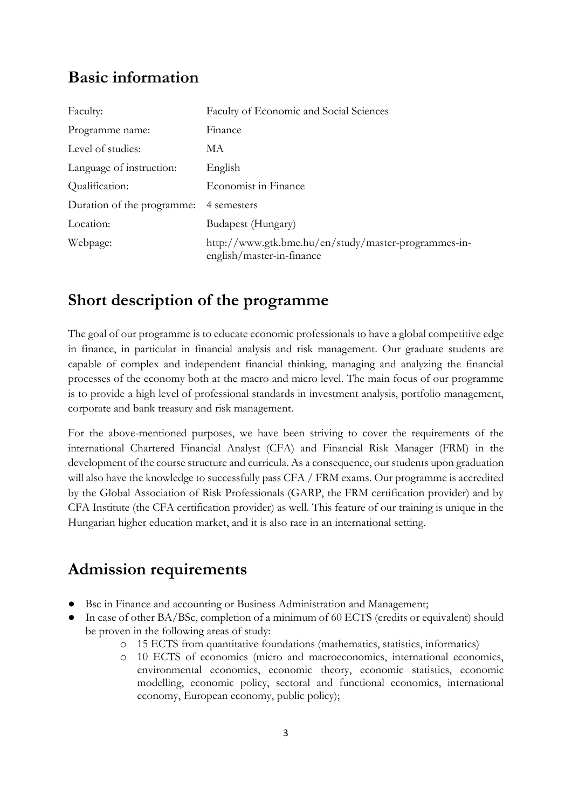## <span id="page-2-0"></span>**Basic information**

| Faculty:                   | Faculty of Economic and Social Sciences                                           |
|----------------------------|-----------------------------------------------------------------------------------|
| Programme name:            | Finance                                                                           |
| Level of studies:          | MА                                                                                |
| Language of instruction:   | English                                                                           |
| Qualification:             | Economist in Finance                                                              |
| Duration of the programme: | 4 semesters                                                                       |
| Location:                  | Budapest (Hungary)                                                                |
| Webpage:                   | http://www.gtk.bme.hu/en/study/master-programmes-in-<br>english/master-in-finance |

# <span id="page-2-1"></span>**Short description of the programme**

The goal of our programme is to educate economic professionals to have a global competitive edge in finance, in particular in financial analysis and risk management. Our graduate students are capable of complex and independent financial thinking, managing and analyzing the financial processes of the economy both at the macro and micro level. The main focus of our programme is to provide a high level of professional standards in investment analysis, portfolio management, corporate and bank treasury and risk management.

For the above-mentioned purposes, we have been striving to cover the requirements of the international Chartered Financial Analyst (CFA) and Financial Risk Manager (FRM) in the development of the course structure and curricula. As a consequence, our students upon graduation will also have the knowledge to successfully pass CFA / FRM exams. Our programme is accredited by the Global Association of Risk Professionals (GARP, the FRM certification provider) and by CFA Institute (the CFA certification provider) as well. This feature of our training is unique in the Hungarian higher education market, and it is also rare in an international setting.

# <span id="page-2-2"></span>**Admission requirements**

- Bsc in Finance and accounting or Business Administration and Management;
- In case of other BA/BSc, completion of a minimum of 60 ECTS (credits or equivalent) should be proven in the following areas of study:
	- o 15 ECTS from quantitative foundations (mathematics, statistics, informatics)
	- o 10 ECTS of economics (micro and macroeconomics, international economics, environmental economics, economic theory, economic statistics, economic modelling, economic policy, sectoral and functional economics, international economy, European economy, public policy);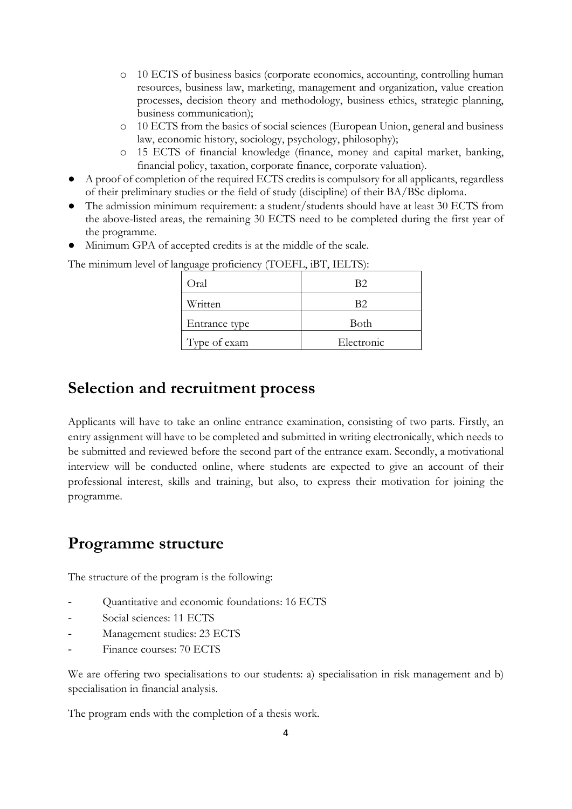- o 10 ECTS of business basics (corporate economics, accounting, controlling human resources, business law, marketing, management and organization, value creation processes, decision theory and methodology, business ethics, strategic planning, business communication);
- o 10 ECTS from the basics of social sciences (European Union, general and business law, economic history, sociology, psychology, philosophy);
- o 15 ECTS of financial knowledge (finance, money and capital market, banking, financial policy, taxation, corporate finance, corporate valuation).
- A proof of completion of the required ECTS credits is compulsory for all applicants, regardless of their preliminary studies or the field of study (discipline) of their BA/BSc diploma.
- The admission minimum requirement: a student/students should have at least 30 ECTS from the above-listed areas, the remaining 30 ECTS need to be completed during the first year of the programme.
- Minimum GPA of accepted credits is at the middle of the scale.

The minimum level of language proficiency (TOEFL, iBT, IELTS):

| Oral          | B2         |
|---------------|------------|
| Written       | B2         |
| Entrance type | Both       |
| Type of exam  | Electronic |

## <span id="page-3-0"></span>**Selection and recruitment process**

Applicants will have to take an online entrance examination, consisting of two parts. Firstly, an entry assignment will have to be completed and submitted in writing electronically, which needs to be submitted and reviewed before the second part of the entrance exam. Secondly, a motivational interview will be conducted online, where students are expected to give an account of their professional interest, skills and training, but also, to express their motivation for joining the programme.

## <span id="page-3-1"></span>**Programme structure**

The structure of the program is the following:

- Quantitative and economic foundations: 16 ECTS
- Social sciences: 11 ECTS
- Management studies: 23 ECTS
- Finance courses: 70 ECTS

We are offering two specialisations to our students: a) specialisation in risk management and b) specialisation in financial analysis.

The program ends with the completion of a thesis work.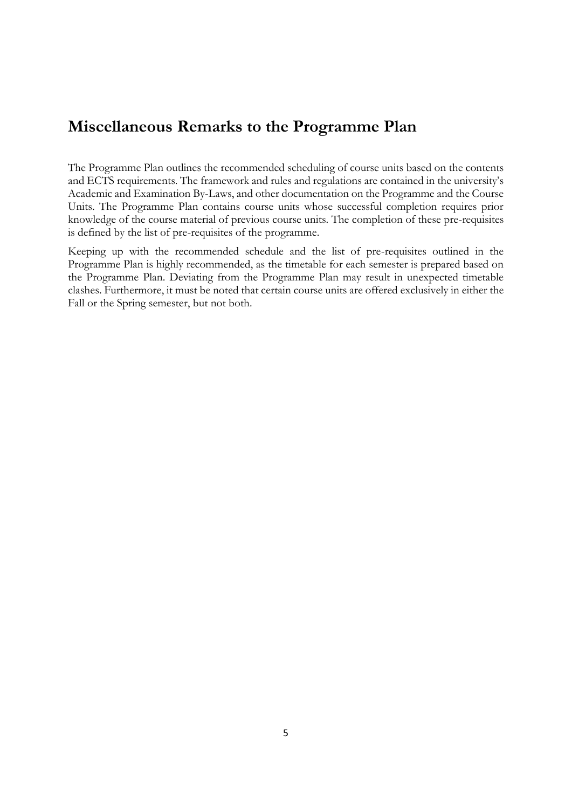## **Miscellaneous Remarks to the Programme Plan**

The Programme Plan outlines the recommended scheduling of course units based on the contents and ECTS requirements. The framework and rules and regulations are contained in the university's Academic and Examination By-Laws, and other documentation on the Programme and the Course Units. The Programme Plan contains course units whose successful completion requires prior knowledge of the course material of previous course units. The completion of these pre-requisites is defined by the list of pre-requisites of the programme.

Keeping up with the recommended schedule and the list of pre-requisites outlined in the Programme Plan is highly recommended, as the timetable for each semester is prepared based on the Programme Plan. Deviating from the Programme Plan may result in unexpected timetable clashes. Furthermore, it must be noted that certain course units are offered exclusively in either the Fall or the Spring semester, but not both.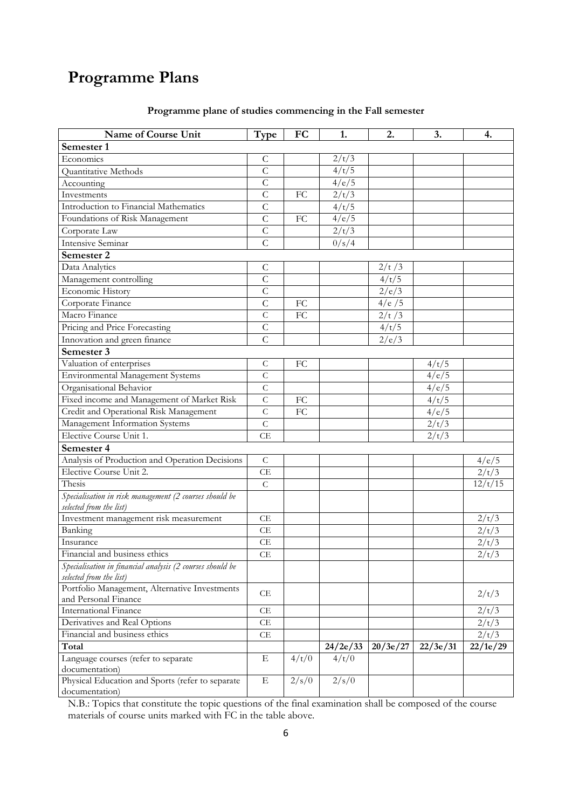# <span id="page-5-0"></span>**Programme Plans**

| Name of Course Unit                                                                  | Type           | FC              | 1.       | 2.       | 3.       | 4.       |
|--------------------------------------------------------------------------------------|----------------|-----------------|----------|----------|----------|----------|
| Semester 1                                                                           |                |                 |          |          |          |          |
| Economics                                                                            | C              |                 | 2/t/3    |          |          |          |
| Quantitative Methods                                                                 | $\overline{C}$ |                 | 4/t/5    |          |          |          |
| Accounting                                                                           | $\overline{C}$ |                 | 4/e/5    |          |          |          |
| Investments                                                                          | $\overline{C}$ | FC              | 2/t/3    |          |          |          |
| Introduction to Financial Mathematics                                                | $\overline{C}$ |                 | 4/t/5    |          |          |          |
| Foundations of Risk Management                                                       | $\overline{C}$ | $\overline{FC}$ | 4/e/5    |          |          |          |
| Corporate Law                                                                        | $\mathsf C$    |                 | 2/t/3    |          |          |          |
| <b>Intensive Seminar</b>                                                             | $\overline{C}$ |                 | 0/s/4    |          |          |          |
| Semester 2                                                                           |                |                 |          |          |          |          |
| Data Analytics                                                                       | $\mathsf C$    |                 |          | 2/t/3    |          |          |
| Management controlling                                                               | $\overline{C}$ |                 |          | 4/t/5    |          |          |
| Economic History                                                                     | $\overline{C}$ |                 |          | 2/e/3    |          |          |
| Corporate Finance                                                                    | $\overline{C}$ | FC              |          | 4/e/5    |          |          |
| Macro Finance                                                                        | $\overline{C}$ | FC              |          | 2/t/3    |          |          |
| Pricing and Price Forecasting                                                        | $\mathcal{C}$  |                 |          | 4/t/5    |          |          |
| Innovation and green finance                                                         | $\overline{C}$ |                 |          | 2/e/3    |          |          |
| Semester 3                                                                           |                |                 |          |          |          |          |
| Valuation of enterprises                                                             | $\mathsf C$    | FC              |          |          | 4/t/5    |          |
| <b>Environmental Management Systems</b>                                              | $\overline{C}$ |                 |          |          | 4/e/5    |          |
| Organisational Behavior                                                              | $\mathcal{C}$  |                 |          |          | 4/e/5    |          |
| Fixed income and Management of Market Risk                                           | $\mathsf{C}$   | FC              |          |          | 4/t/5    |          |
| Credit and Operational Risk Management                                               | $\overline{C}$ | FC              |          |          | 4/e/5    |          |
| Management Information Systems                                                       | $\mathsf C$    |                 |          |          | 2/t/3    |          |
| Elective Course Unit 1.                                                              | CE             |                 |          |          | 2/t/3    |          |
| Semester 4                                                                           |                |                 |          |          |          |          |
| Analysis of Production and Operation Decisions                                       | $\mathsf{C}$   |                 |          |          |          | 4/e/5    |
| Elective Course Unit 2.                                                              | CE             |                 |          |          |          | 2/t/3    |
| Thesis                                                                               | $\mathsf{C}$   |                 |          |          |          | 12/t/15  |
| Specialisation in risk management (2 courses should be                               |                |                 |          |          |          |          |
| selected from the list)                                                              |                |                 |          |          |          |          |
| Investment management risk measurement                                               | CE             |                 |          |          |          | 2/t/3    |
| <b>Banking</b>                                                                       | CE             |                 |          |          |          | 2/t/3    |
| Insurance                                                                            | CE             |                 |          |          |          | 2/t/3    |
| Financial and business ethics                                                        | CE             |                 |          |          |          | 2/t/3    |
| Specialisation in financial analysis (2 courses should be<br>selected from the list) |                |                 |          |          |          |          |
| Portfolio Management, Alternative Investments                                        |                |                 |          |          |          |          |
| and Personal Finance                                                                 | CE             |                 |          |          |          | 2/t/3    |
| <b>International Finance</b>                                                         | CE             |                 |          |          |          | 2/t/3    |
| Derivatives and Real Options                                                         | CE             |                 |          |          |          | 2/t/3    |
| Financial and business ethics                                                        | CE             |                 |          |          |          | 2/t/3    |
| Total                                                                                |                |                 | 24/2e/33 | 20/3e/27 | 22/3e/31 | 22/1e/29 |
| Language courses (refer to separate<br>documentation)                                | Е              | 4/t/0           | 4/t/0    |          |          |          |
| Physical Education and Sports (refer to separate<br>documentation)                   | $\mathbf E$    | 2/s/0           | 2/s/0    |          |          |          |

### **Programme plane of studies commencing in the Fall semester**

N.B.: Topics that constitute the topic questions of the final examination shall be composed of the course materials of course units marked with FC in the table above.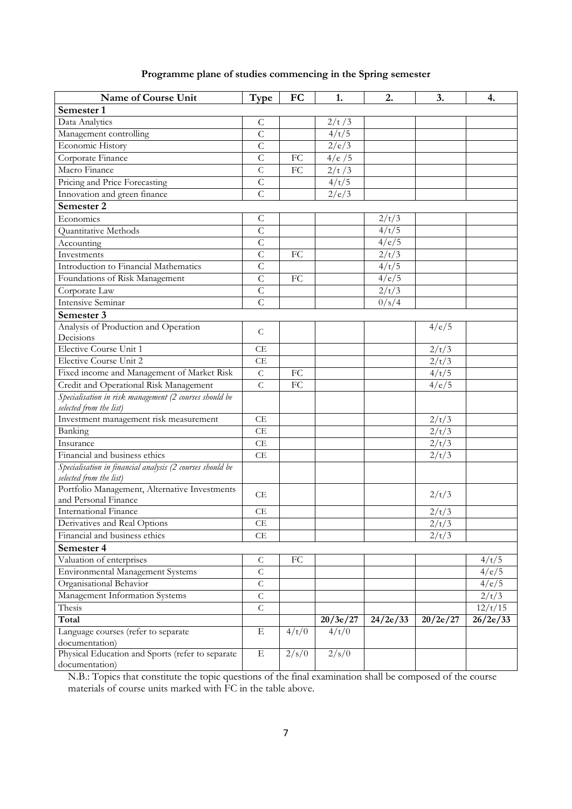|  |  |  |  | Programme plane of studies commencing in the Spring semester |  |  |  |  |
|--|--|--|--|--------------------------------------------------------------|--|--|--|--|
|--|--|--|--|--------------------------------------------------------------|--|--|--|--|

| Name of Course Unit                                                                  | Type                | FC         | 1.       | 2.       | 3.       | 4.       |
|--------------------------------------------------------------------------------------|---------------------|------------|----------|----------|----------|----------|
| Semester 1                                                                           |                     |            |          |          |          |          |
| Data Analytics                                                                       | C                   |            | 2/t/3    |          |          |          |
| Management controlling                                                               | $\mathsf C$         |            | 4/t/5    |          |          |          |
| Economic History                                                                     | $\overline{C}$      |            | 2/e/3    |          |          |          |
| Corporate Finance                                                                    | $\overline{C}$      | FC         | 4/e/5    |          |          |          |
| Macro Finance                                                                        | $\overline{C}$      | FC         | 2/t/3    |          |          |          |
| Pricing and Price Forecasting                                                        | $\mathsf{C}$        |            | 4/t/5    |          |          |          |
| Innovation and green finance                                                         | $\overline{C}$      |            | 2/e/3    |          |          |          |
| Semester 2                                                                           |                     |            |          |          |          |          |
| Economics                                                                            | $\mathsf{C}$        |            |          | 2/t/3    |          |          |
| Quantitative Methods                                                                 | $\mathsf{C}$        |            |          | 4/t/5    |          |          |
| Accounting                                                                           | $\overline{C}$      |            |          | 4/e/5    |          |          |
| Investments                                                                          | $\overline{C}$      | FC         |          | 2/t/3    |          |          |
| Introduction to Financial Mathematics                                                | $\mathsf C$         |            |          | 4/t/5    |          |          |
| Foundations of Risk Management                                                       | $\overline{C}$      | FC         |          | 4/e/5    |          |          |
|                                                                                      | $\overline{C}$      |            |          |          |          |          |
| Corporate Law                                                                        |                     |            |          | 2/t/3    |          |          |
| <b>Intensive Seminar</b>                                                             | $\overline{C}$      |            |          | 0/s/4    |          |          |
| Semester 3                                                                           |                     |            |          |          |          |          |
| Analysis of Production and Operation                                                 | $\mathcal{C}$       |            |          |          | 4/e/5    |          |
| Decisions                                                                            |                     |            |          |          |          |          |
| <b>Elective Course Unit 1</b>                                                        | CE                  |            |          |          | 2/t/3    |          |
| <b>Elective Course Unit 2</b>                                                        | CE                  |            |          |          | 2/t/3    |          |
| Fixed income and Management of Market Risk                                           | $\mathsf C$         | FC         |          |          | 4/t/5    |          |
| Credit and Operational Risk Management                                               | $\overline{C}$      | FC         |          |          | 4/e/5    |          |
| Specialisation in risk management (2 courses should be                               |                     |            |          |          |          |          |
| selected from the list)                                                              |                     |            |          |          |          |          |
| Investment management risk measurement                                               | CE                  |            |          |          | 2/t/3    |          |
| Banking                                                                              | CE                  |            |          |          | 2/t/3    |          |
| Insurance                                                                            | CE                  |            |          |          | 2/t/3    |          |
| Financial and business ethics                                                        | CE                  |            |          |          | 2/t/3    |          |
| Specialisation in financial analysis (2 courses should be<br>selected from the list) |                     |            |          |          |          |          |
| Portfolio Management, Alternative Investments                                        | CE                  |            |          |          | 2/t/3    |          |
| and Personal Finance                                                                 |                     |            |          |          |          |          |
| International Finance                                                                | CE                  |            |          |          | 2/t/3    |          |
| Derivatives and Real Options                                                         | $\operatorname{CE}$ |            |          |          | 2/t/3    |          |
| Financial and business ethics                                                        | CE                  |            |          |          | 2/t/3    |          |
| Semester 4                                                                           |                     |            |          |          |          |          |
| Valuation of enterprises                                                             | $\mathsf C$         | ${\rm FC}$ |          |          |          | 4/t/5    |
| <b>Environmental Management Systems</b>                                              | $\mathsf{C}$        |            |          |          |          | 4/e/5    |
| Organisational Behavior                                                              | $\mathsf C$         |            |          |          |          | 4/e/5    |
| Management Information Systems                                                       | $\mathsf C$         |            |          |          |          | 2/t/3    |
| Thesis                                                                               | $\mathsf C$         |            |          |          |          | 12/t/15  |
| Total                                                                                |                     |            | 20/3e/27 | 24/2e/33 | 20/2e/27 | 26/2e/33 |
| Language courses (refer to separate                                                  | $\mathbf E$         | 4/t/0      | 4/t/0    |          |          |          |
| documentation)                                                                       |                     |            |          |          |          |          |
| Physical Education and Sports (refer to separate                                     | $\mathbf E$         | 2/s/0      | 2/s/0    |          |          |          |
| documentation)                                                                       |                     |            |          |          |          |          |

N.B.: Topics that constitute the topic questions of the final examination shall be composed of the course materials of course units marked with FC in the table above.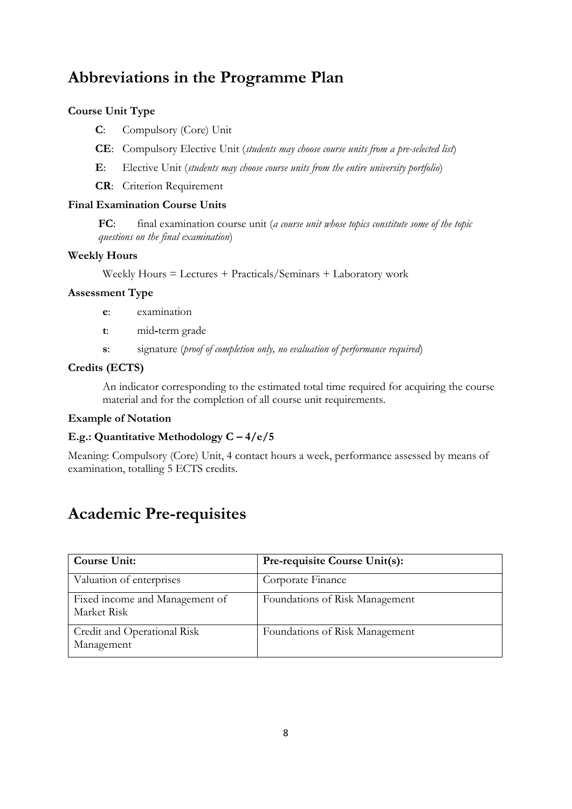# <span id="page-7-0"></span>**Abbreviations in the Programme Plan**

### **Course Unit Type**

**C**: Compulsory (Core) Unit

**CE**: Compulsory Elective Unit (*students may choose course units from a pre-selected list*)

**E**: Elective Unit (*students may choose course units from the entire university portfolio*)

**CR**: Criterion Requirement

### **Final Examination Course Units**

**FC**: final examination course unit (*a course unit whose topics constitute some of the topic questions on the final examination*)

### **Weekly Hours**

Weekly Hours = Lectures + Practicals/Seminars + Laboratory work

### **Assessment Type**

- **e**: examination
- **t**: mid**-**term grade
- **s**: signature (*proof of completion only, no evaluation of performance required*)

### **Credits (ECTS)**

An indicator corresponding to the estimated total time required for acquiring the course material and for the completion of all course unit requirements.

### **Example of Notation**

### **E.g.: Quantitative Methodology C – 4/e/5**

<span id="page-7-1"></span>Meaning: Compulsory (Core) Unit, 4 contact hours a week, performance assessed by means of examination, totalling 5 ECTS credits.

## **Academic Pre-requisites**

| <b>Course Unit:</b>                           | <b>Pre-requisite Course Unit(s):</b> |
|-----------------------------------------------|--------------------------------------|
| Valuation of enterprises                      | Corporate Finance                    |
| Fixed income and Management of<br>Market Risk | Foundations of Risk Management       |
| Credit and Operational Risk<br>Management     | Foundations of Risk Management       |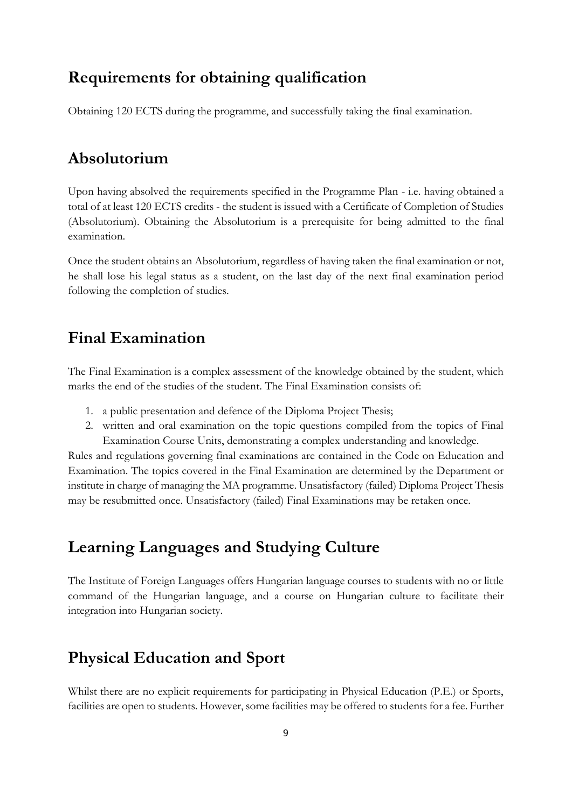## <span id="page-8-0"></span>**Requirements for obtaining qualification**

Obtaining 120 ECTS during the programme, and successfully taking the final examination.

## <span id="page-8-1"></span>**Absolutorium**

Upon having absolved the requirements specified in the Programme Plan - i.e. having obtained a total of at least 120 ECTS credits - the student is issued with a Certificate of Completion of Studies (Absolutorium). Obtaining the Absolutorium is a prerequisite for being admitted to the final examination.

Once the student obtains an Absolutorium, regardless of having taken the final examination or not, he shall lose his legal status as a student, on the last day of the next final examination period following the completion of studies.

## <span id="page-8-2"></span>**Final Examination**

The Final Examination is a complex assessment of the knowledge obtained by the student, which marks the end of the studies of the student. The Final Examination consists of:

- 1. a public presentation and defence of the Diploma Project Thesis;
- 2. written and oral examination on the topic questions compiled from the topics of Final Examination Course Units, demonstrating a complex understanding and knowledge.

Rules and regulations governing final examinations are contained in the Code on Education and Examination. The topics covered in the Final Examination are determined by the Department or institute in charge of managing the MA programme. Unsatisfactory (failed) Diploma Project Thesis may be resubmitted once. Unsatisfactory (failed) Final Examinations may be retaken once.

# <span id="page-8-3"></span>**Learning Languages and Studying Culture**

The Institute of Foreign Languages offers Hungarian language courses to students with no or little command of the Hungarian language, and a course on Hungarian culture to facilitate their integration into Hungarian society.

## <span id="page-8-4"></span>**Physical Education and Sport**

Whilst there are no explicit requirements for participating in Physical Education (P.E.) or Sports, facilities are open to students. However, some facilities may be offered to students for a fee. Further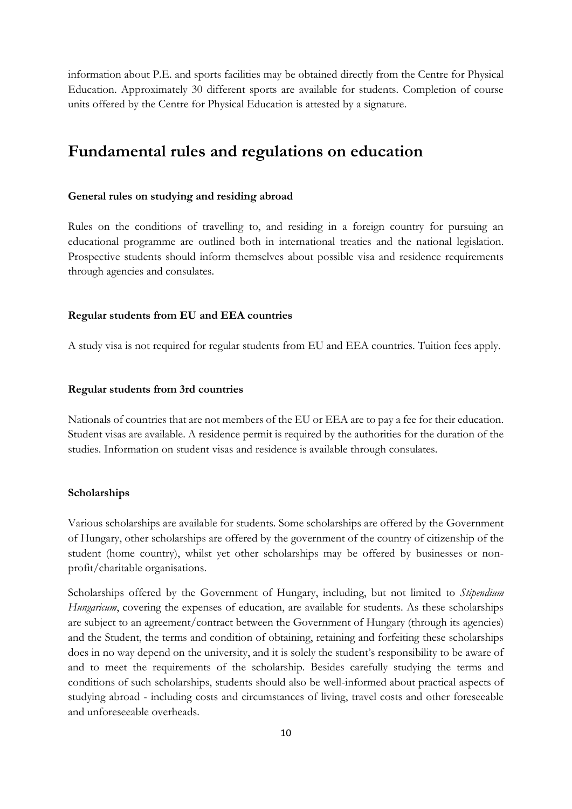information about P.E. and sports facilities may be obtained directly from the Centre for Physical Education. Approximately 30 different sports are available for students. Completion of course units offered by the Centre for Physical Education is attested by a signature.

## <span id="page-9-0"></span>**Fundamental rules and regulations on education**

#### <span id="page-9-1"></span>**General rules on studying and residing abroad**

Rules on the conditions of travelling to, and residing in a foreign country for pursuing an educational programme are outlined both in international treaties and the national legislation. Prospective students should inform themselves about possible visa and residence requirements through agencies and consulates.

#### <span id="page-9-2"></span>**Regular students from EU and EEA countries**

A study visa is not required for regular students from EU and EEA countries. Tuition fees apply.

#### <span id="page-9-3"></span>**Regular students from 3rd countries**

Nationals of countries that are not members of the EU or EEA are to pay a fee for their education. Student visas are available. A residence permit is required by the authorities for the duration of the studies. Information on student visas and residence is available through consulates.

#### <span id="page-9-4"></span>**Scholarships**

Various scholarships are available for students. Some scholarships are offered by the Government of Hungary, other scholarships are offered by the government of the country of citizenship of the student (home country), whilst yet other scholarships may be offered by businesses or nonprofit/charitable organisations.

Scholarships offered by the Government of Hungary, including, but not limited to *Stipendium Hungaricum*, covering the expenses of education, are available for students. As these scholarships are subject to an agreement/contract between the Government of Hungary (through its agencies) and the Student, the terms and condition of obtaining, retaining and forfeiting these scholarships does in no way depend on the university, and it is solely the student's responsibility to be aware of and to meet the requirements of the scholarship. Besides carefully studying the terms and conditions of such scholarships, students should also be well-informed about practical aspects of studying abroad - including costs and circumstances of living, travel costs and other foreseeable and unforeseeable overheads.